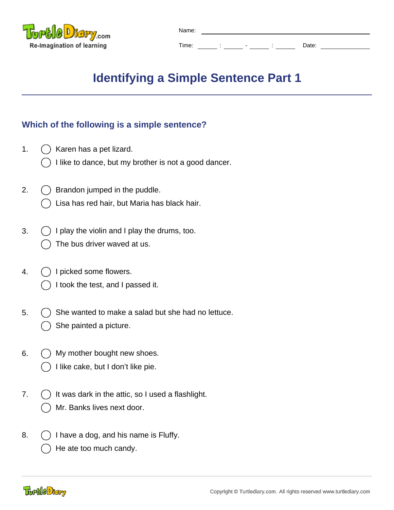

| Name: |  |   |              |       |
|-------|--|---|--------------|-------|
| Time: |  | - | ٠<br>$\cdot$ | Date: |

## **Identifying a Simple Sentence Part 1**

## **Which of the following is a simple sentence?**

- 1.  $\bigcap$  Karen has a pet lizard.
	- I like to dance, but my brother is not a good dancer.
- 2.  $\left( \right)$  Brandon jumped in the puddle.
	- Lisa has red hair, but Maria has black hair.
- 3.  $\bigcap$  I play the violin and I play the drums, too. The bus driver waved at us.
- 4. () I picked some flowers.
	- I took the test, and I passed it.
- 5.  $\bigcap$  She wanted to make a salad but she had no lettuce. She painted a picture.
- 6.  $( )$  My mother bought new shoes.
	- I like cake, but I don't like pie.
- 7.  $\binom{1}{1}$  It was dark in the attic, so I used a flashlight. Mr. Banks lives next door.
- 8.  $\left( \right)$  I have a dog, and his name is Fluffy.
	- He ate too much candy.

Tortle Diary